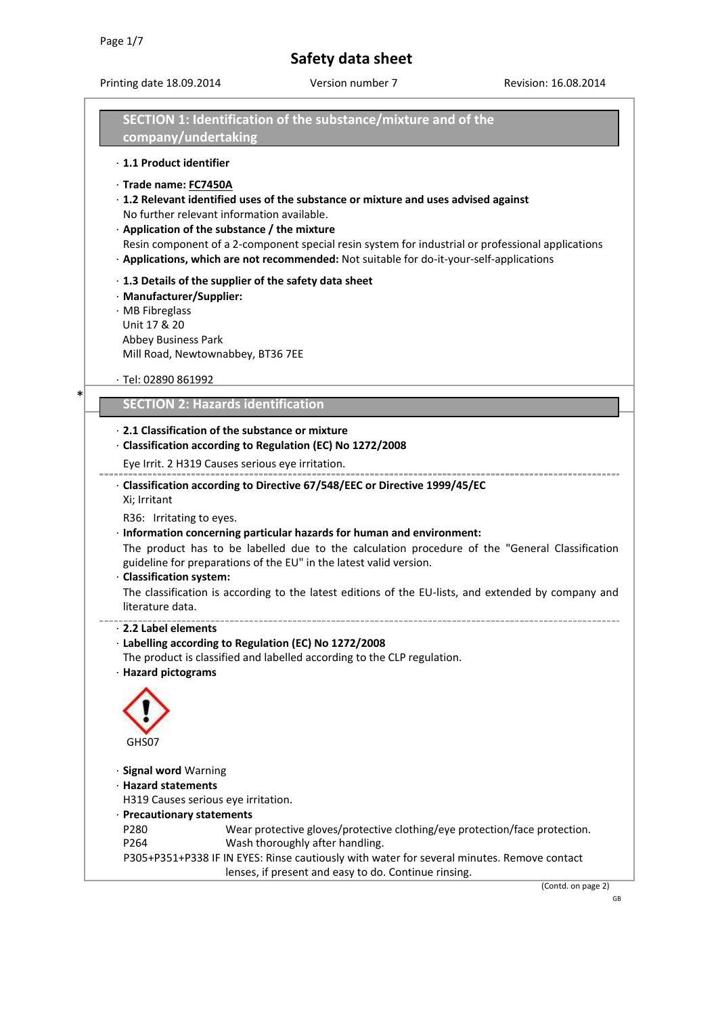\*

# **Safety data sheet**

Printing date 18.09.2014 Version number 7 Revision: 16.08.2014

| company/undertaking                                                                       | SECTION 1: Identification of the substance/mixture and of the                                                                                                                                                                                                                                                                                                                      |
|-------------------------------------------------------------------------------------------|------------------------------------------------------------------------------------------------------------------------------------------------------------------------------------------------------------------------------------------------------------------------------------------------------------------------------------------------------------------------------------|
| · 1.1 Product identifier                                                                  |                                                                                                                                                                                                                                                                                                                                                                                    |
| · Trade name: FC7450A                                                                     | · 1.2 Relevant identified uses of the substance or mixture and uses advised against<br>No further relevant information available.<br>· Application of the substance / the mixture<br>Resin component of a 2-component special resin system for industrial or professional applications<br>· Applications, which are not recommended: Not suitable for do-it-your-self-applications |
| · Manufacturer/Supplier:<br>· MB Fibreglass<br>Unit 17 & 20<br><b>Abbey Business Park</b> | $\cdot$ 1.3 Details of the supplier of the safety data sheet<br>Mill Road, Newtownabbey, BT36 7EE                                                                                                                                                                                                                                                                                  |
| $\cdot$ Tel: 02890 861992                                                                 |                                                                                                                                                                                                                                                                                                                                                                                    |
|                                                                                           | <b>SECTION 2: Hazards identification</b>                                                                                                                                                                                                                                                                                                                                           |
|                                                                                           | ⋅ 2.1 Classification of the substance or mixture                                                                                                                                                                                                                                                                                                                                   |
|                                                                                           | · Classification according to Regulation (EC) No 1272/2008                                                                                                                                                                                                                                                                                                                         |
|                                                                                           | Eye Irrit. 2 H319 Causes serious eye irritation.                                                                                                                                                                                                                                                                                                                                   |
| Xi; Irritant                                                                              | · Classification according to Directive 67/548/EEC or Directive 1999/45/EC                                                                                                                                                                                                                                                                                                         |
| R36: Irritating to eyes.<br>· Classification system:<br>literature data.                  | · Information concerning particular hazards for human and environment:<br>The product has to be labelled due to the calculation procedure of the "General Classification<br>guideline for preparations of the EU" in the latest valid version.<br>The classification is according to the latest editions of the EU-lists, and extended by company and                              |
| ⋅ 2.2 Label elements<br>· Hazard pictograms                                               | Labelling according to Regulation (EC) No 1272/2008<br>The product is classified and labelled according to the CLP regulation.                                                                                                                                                                                                                                                     |
| GHS07                                                                                     |                                                                                                                                                                                                                                                                                                                                                                                    |
| · Signal word Warning<br>· Hazard statements<br>· Precautionary statements                | H319 Causes serious eye irritation.                                                                                                                                                                                                                                                                                                                                                |
| P280<br>P264                                                                              | Wear protective gloves/protective clothing/eye protection/face protection.<br>Wash thoroughly after handling.                                                                                                                                                                                                                                                                      |
|                                                                                           | P305+P351+P338 IF IN EYES: Rinse cautiously with water for several minutes. Remove contact<br>lenses, if present and easy to do. Continue rinsing.                                                                                                                                                                                                                                 |
|                                                                                           | (Contd. on page 2)                                                                                                                                                                                                                                                                                                                                                                 |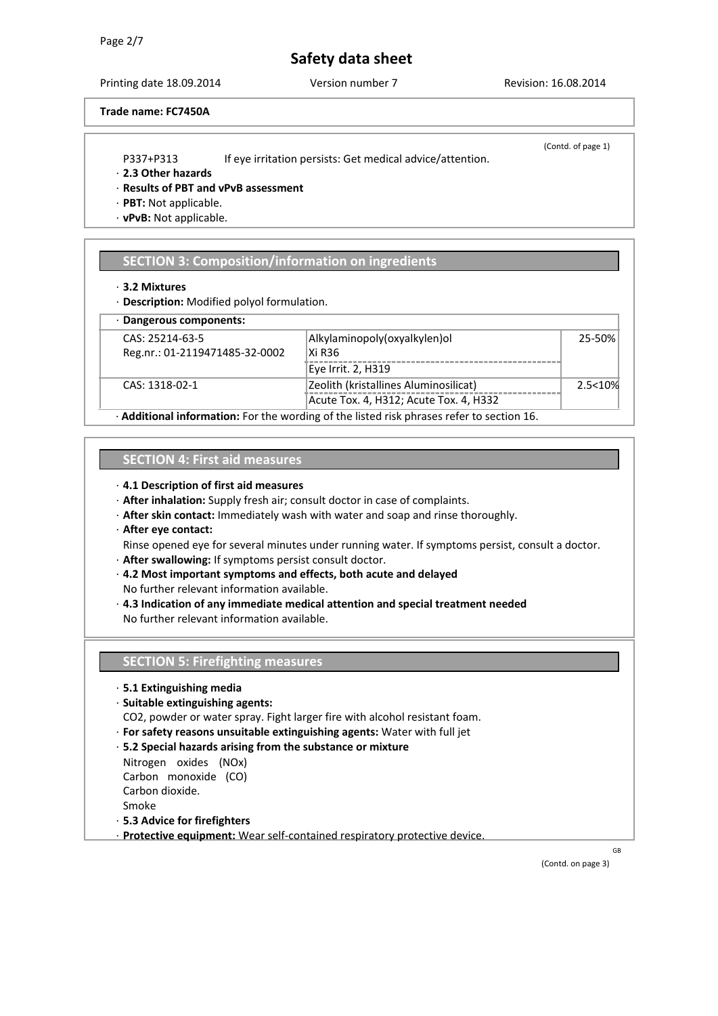Printing date 18.09.2014 Version number 7 Revision: 16.08.2014

# **Trade name: FC7450A**

- P337+P313 If eye irritation persists: Get medical advice/attention.
- (Contd. of page 1)

- · **2.3 Other hazards**
- · **Results of PBT and vPvB assessment**
- · **PBT:** Not applicable.
- · **vPvB:** Not applicable.

# **SECTION 3: Composition/information on ingredients**

#### · **3.2 Mixtures**

· **Description:** Modified polyol formulation.

| · Dangerous components:        |                                        |           |  |  |  |
|--------------------------------|----------------------------------------|-----------|--|--|--|
| CAS: 25214-63-5                | Alkylaminopoly (oxyalkylen) ol         | 25-50%    |  |  |  |
| Reg.nr.: 01-2119471485-32-0002 | Xi R36                                 |           |  |  |  |
|                                | Eye Irrit. 2, H319                     |           |  |  |  |
| CAS: 1318-02-1                 | Zeolith (kristallines Aluminosilicat)  | 2.5 < 10% |  |  |  |
|                                | Acute Tox. 4, H312; Acute Tox. 4, H332 |           |  |  |  |
| <br>.<br>$\cdot$ .<br>- 1      |                                        |           |  |  |  |

· **Additional information:** For the wording of the listed risk phrases refer to section 16.

# **SECTION 4: First aid measures**

- · **4.1 Description of first aid measures**
- · **After inhalation:** Supply fresh air; consult doctor in case of complaints.
- · **After skin contact:** Immediately wash with water and soap and rinse thoroughly.
- · **After eye contact:**
- Rinse opened eye for several minutes under running water. If symptoms persist, consult a doctor.
- · **After swallowing:** If symptoms persist consult doctor.
- · **4.2 Most important symptoms and effects, both acute and delayed**  No further relevant information available.
- · **4.3 Indication of any immediate medical attention and special treatment needed**  No further relevant information available.

# **SECTION 5: Firefighting measures**

- · **5.1 Extinguishing media**
- · **Suitable extinguishing agents:**
- CO2, powder or water spray. Fight larger fire with alcohol resistant foam.
- · **For safety reasons unsuitable extinguishing agents:** Water with full jet
- · **5.2 Special hazards arising from the substance or mixture**
- Nitrogen oxides (NOx)
- Carbon monoxide (CO)
- Carbon dioxide.

Smoke

- · **5.3 Advice for firefighters**
- · **Protective equipment:** Wear self-contained respiratory protective device.

(Contd. on page 3)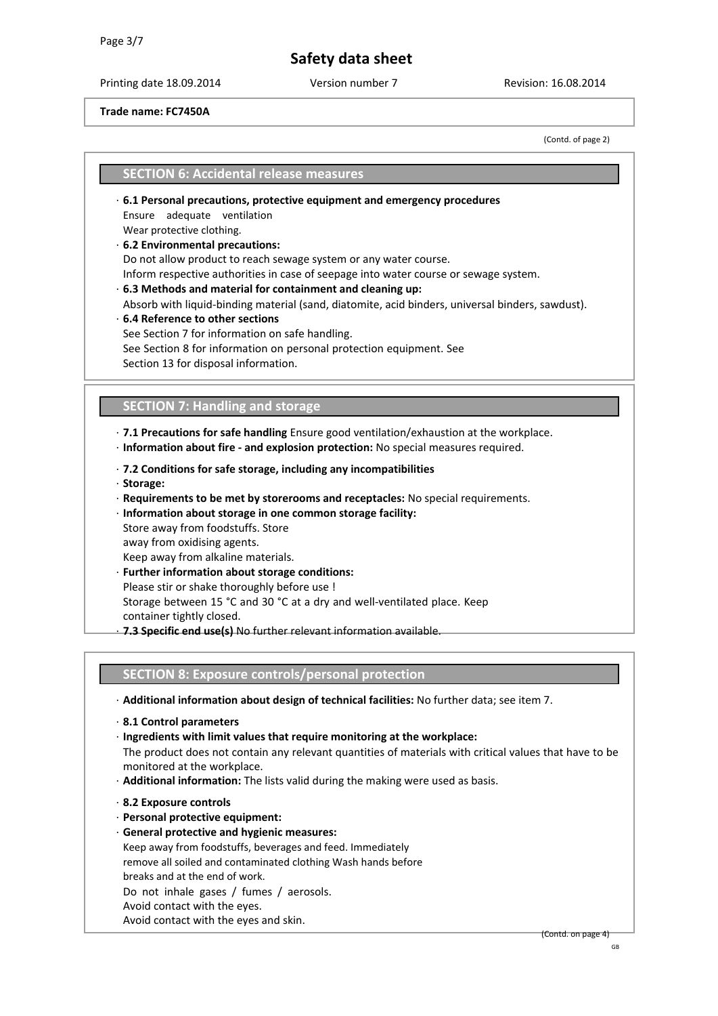Printing date 18.09.2014 Version number 7 Revision: 16.08.2014

# **Trade name: FC7450A**

(Contd. of page 2)

# **SECTION 6: Accidental release measures**

- · **6.1 Personal precautions, protective equipment and emergency procedures**  Ensure adequate ventilation
- Wear protective clothing.

### · **6.2 Environmental precautions:**

Do not allow product to reach sewage system or any water course.

Inform respective authorities in case of seepage into water course or sewage system.

· **6.3 Methods and material for containment and cleaning up:** 

Absorb with liquid-binding material (sand, diatomite, acid binders, universal binders, sawdust). · **6.4 Reference to other sections** 

See Section 7 for information on safe handling. See Section 8 for information on personal protection equipment. See Section 13 for disposal information.

# **SECTION 7: Handling and storage**

· **7.1 Precautions for safe handling** Ensure good ventilation/exhaustion at the workplace.

- · **Information about fire - and explosion protection:** No special measures required.
- · **7.2 Conditions for safe storage, including any incompatibilities**
- · **Storage:**
- · **Requirements to be met by storerooms and receptacles:** No special requirements.
- · **Information about storage in one common storage facility:**
- Store away from foodstuffs. Store
- away from oxidising agents.
- Keep away from alkaline materials.
- **Further information about storage conditions:**
- Please stir or shake thoroughly before use !
- Storage between 15 °C and 30 °C at a dry and well-ventilated place. Keep
- container tightly closed.
- · **7.3 Specific end use(s)** No further relevant information available.

# **SECTION 8: Exposure controls/personal protection**

- · **Additional information about design of technical facilities:** No further data; see item 7.
- · **8.1 Control parameters**
- · **Ingredients with limit values that require monitoring at the workplace:**

The product does not contain any relevant quantities of materials with critical values that have to be monitored at the workplace.

- · **Additional information:** The lists valid during the making were used as basis.
- · **8.2 Exposure controls**
- · **Personal protective equipment:**
- · **General protective and hygienic measures:**

Keep away from foodstuffs, beverages and feed. Immediately remove all soiled and contaminated clothing Wash hands before breaks and at the end of work. Do not inhale gases / fumes / aerosols. Avoid contact with the eyes.

Avoid contact with the eyes and skin.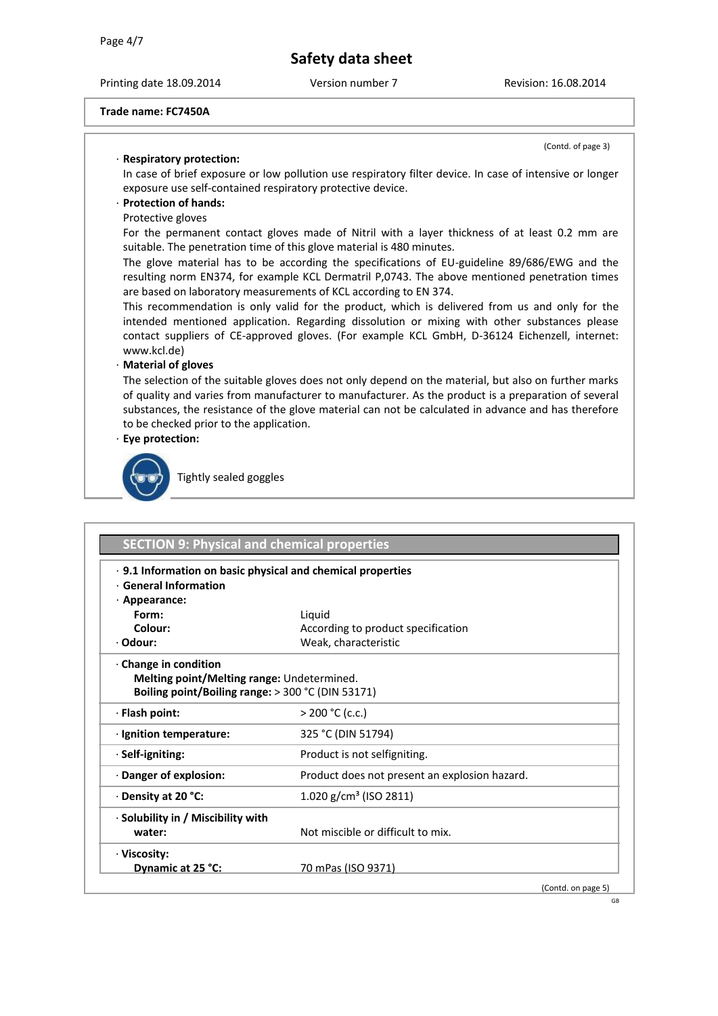Printing date 18.09.2014 Version number 7 Revision: 16.08.2014

(Contd. of page 3)

### **Trade name: FC7450A**

# · **Respiratory protection:**

In case of brief exposure or low pollution use respiratory filter device. In case of intensive or longer exposure use self-contained respiratory protective device.

# · **Protection of hands:**

Protective gloves

For the permanent contact gloves made of Nitril with a layer thickness of at least 0.2 mm are suitable. The penetration time of this glove material is 480 minutes.

The glove material has to be according the specifications of EU-guideline 89/686/EWG and the resulting norm EN374, for example KCL Dermatril P,0743. The above mentioned penetration times are based on laboratory measurements of KCL according to EN 374.

This recommendation is only valid for the product, which is delivered from us and only for the intended mentioned application. Regarding dissolution or mixing with other substances please contact suppliers of CE-approved gloves. (For example KCL GmbH, D-36124 Eichenzell, internet[:](http://www.kcl.de)/)  [www.kcl.de\)](http://www.kcl.de)/)

# · **Material of gloves**

The selection of the suitable gloves does not only depend on the material, but also on further marks of quality and varies from manufacturer to manufacturer. As the product is a preparation of several substances, the resistance of the glove material can not be calculated in advance and has therefore to be checked prior to the application.

# · **Eye protection:**



Tightly sealed goggles

| · 9.1 Information on basic physical and chemical properties<br>$\cdot$ General Information |                                               |  |
|--------------------------------------------------------------------------------------------|-----------------------------------------------|--|
| $\cdot$ Appearance:                                                                        |                                               |  |
| Form:                                                                                      | Liquid                                        |  |
| Colour:                                                                                    | According to product specification            |  |
| · Odour:                                                                                   | Weak, characteristic                          |  |
| · Change in condition<br>Melting point/Melting range: Undetermined.                        |                                               |  |
| Boiling point/Boiling range: > 300 °C (DIN 53171)                                          |                                               |  |
| · Flash point:                                                                             | $>$ 200 °C (c.c.)                             |  |
| · Ignition temperature:                                                                    | 325 °C (DIN 51794)                            |  |
| $\cdot$ Self-igniting:                                                                     | Product is not selfigniting.                  |  |
|                                                                                            |                                               |  |
| · Danger of explosion:                                                                     | Product does not present an explosion hazard. |  |
| $\cdot$ Density at 20 °C:                                                                  | 1.020 g/cm <sup>3</sup> (ISO 2811)            |  |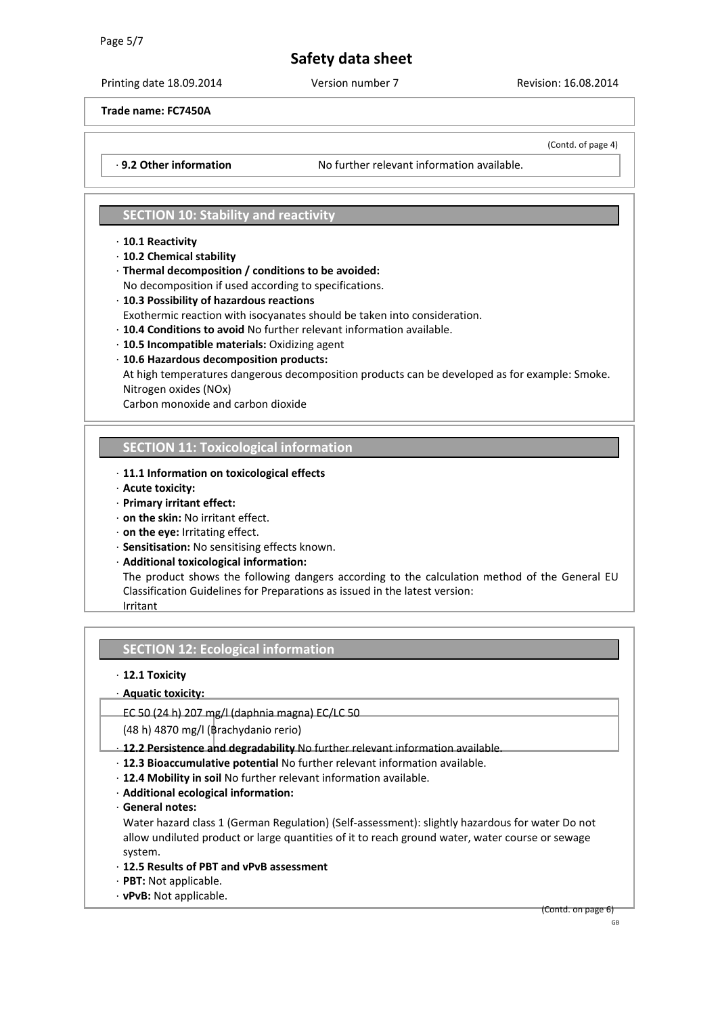Printing date 18.09.2014 Version number 7 Revision: 16.08.2014

(Contd. of page 4)

# **Trade name: FC7450A**

· **9.2 Other information** No further relevant information available.

# **SECTION 10: Stability and reactivity**

### · **10.1 Reactivity**

- · **10.2 Chemical stability**
- · **Thermal decomposition / conditions to be avoided:**

No decomposition if used according to specifications.

- · **10.3 Possibility of hazardous reactions**
- Exothermic reaction with isocyanates should be taken into consideration.
- · **10.4 Conditions to avoid** No further relevant information available.
- · **10.5 Incompatible materials:** Oxidizing agent
- · **10.6 Hazardous decomposition products:**

At high temperatures dangerous decomposition products can be developed as for example: Smoke. Nitrogen oxides (NOx)

Carbon monoxide and carbon dioxide

# **SECTION 11: Toxicological information**

- · **11.1 Information on toxicological effects**
- · **Acute toxicity:**
- · **Primary irritant effect:**
- · **on the skin:** No irritant effect.
- · **on the eye:** Irritating effect.
- · **Sensitisation:** No sensitising effects known.
- · **Additional toxicological information:**

The product shows the following dangers according to the calculation method of the General EU Classification Guidelines for Preparations as issued in the latest version: Irritant

# **SECTION 12: Ecological information**

# · **12.1 Toxicity**

# · **Aquatic toxicity:**

EC 50 (24 h) 207 mg/l (daphnia magna) EC/LC 50

(48 h) 4870 mg/l (Brachydanio rerio)

· **12.2 Persistence and degradability** No further relevant information available.

- · **12.3 Bioaccumulative potential** No further relevant information available.
- · **12.4 Mobility in soil** No further relevant information available.
- · **Additional ecological information:**
- · **General notes:**

Water hazard class 1 (German Regulation) (Self-assessment): slightly hazardous for water Do not allow undiluted product or large quantities of it to reach ground water, water course or sewage system.

#### · **12.5 Results of PBT and vPvB assessment**

- · **PBT:** Not applicable.
- · **vPvB:** Not applicable.

(Contd. on page 6)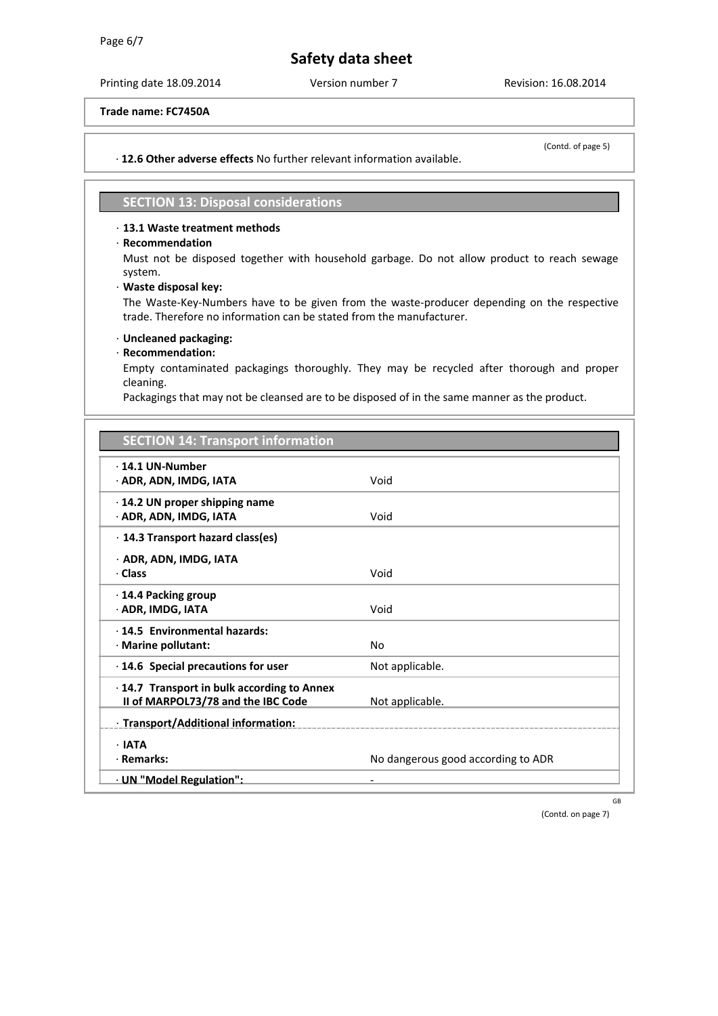Printing date 18.09.2014 Version number 7 Revision: 16.08.2014

**Trade name: FC7450A**

· **12.6 Other adverse effects** No further relevant information available.

(Contd. of page 5)

# **SECTION 13: Disposal considerations**

# · **13.1 Waste treatment methods**

# · **Recommendation**

Must not be disposed together with household garbage. Do not allow product to reach sewage system.

### · **Waste disposal key:**

The Waste-Key-Numbers have to be given from the waste-producer depending on the respective trade. Therefore no information can be stated from the manufacturer.

# · **Uncleaned packaging:**

# · **Recommendation:**

Empty contaminated packagings thoroughly. They may be recycled after thorough and proper cleaning.

Packagings that may not be cleansed are to be disposed of in the same manner as the product.

# **SECTION 14: Transport information**

| $\cdot$ 14.1 UN-Number<br>· ADR, ADN, IMDG, IATA                                        | Void                               |
|-----------------------------------------------------------------------------------------|------------------------------------|
| $\cdot$ 14.2 UN proper shipping name<br>· ADR, ADN, IMDG, IATA                          | Void                               |
| $\cdot$ 14.3 Transport hazard class(es)                                                 |                                    |
| · ADR, ADN, IMDG, IATA                                                                  |                                    |
| · Class                                                                                 | Void                               |
| $\cdot$ 14.4 Packing group<br>· ADR, IMDG, IATA                                         | Void                               |
| · 14.5 Environmental hazards:                                                           |                                    |
| · Marine pollutant:                                                                     | No                                 |
| $\cdot$ 14.6 Special precautions for user                                               | Not applicable.                    |
| $\cdot$ 14.7 Transport in bulk according to Annex<br>II of MARPOL73/78 and the IBC Code | Not applicable.                    |
| : Transport/Additional information:                                                     |                                    |
| $\cdot$ IATA                                                                            |                                    |
| · Remarks:                                                                              | No dangerous good according to ADR |
| · UN "Model Regulation":                                                                |                                    |

GB

(Contd. on page 7)